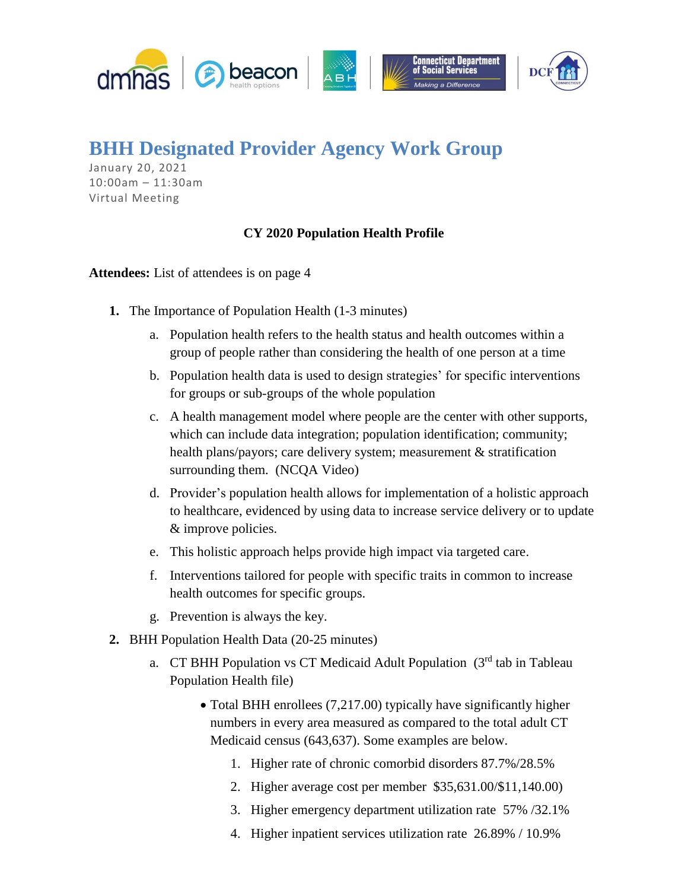

## **BHH Designated Provider Agency Work Group**

January 20, 2021 10:00am – 11:30am Virtual Meeting

## **CY 2020 Population Health Profile**

**Attendees:** List of attendees is on page 4

- **1.** The Importance of Population Health (1-3 minutes)
	- a. Population health refers to the health status and health outcomes within a group of people rather than considering the health of one person at a time
	- b. Population health data is used to design strategies' for specific interventions for groups or sub-groups of the whole population
	- c. A health management model where people are the center with other supports, which can include data integration; population identification; community; health plans/payors; care delivery system; measurement & stratification surrounding them. (NCQA Video)
	- d. Provider's population health allows for implementation of a holistic approach to healthcare, evidenced by using data to increase service delivery or to update & improve policies.
	- e. This holistic approach helps provide high impact via targeted care.
	- f. Interventions tailored for people with specific traits in common to increase health outcomes for specific groups.
	- g. Prevention is always the key.
- **2.** BHH Population Health Data (20-25 minutes)
	- a. CT BHH Population vs CT Medicaid Adult Population (3rd tab in Tableau Population Health file)
		- Total BHH enrollees (7,217.00) typically have significantly higher numbers in every area measured as compared to the total adult CT Medicaid census (643,637). Some examples are below.
			- 1. Higher rate of chronic comorbid disorders 87.7%/28.5%
			- 2. Higher average cost per member \$35,631.00/\$11,140.00)
			- 3. Higher emergency department utilization rate 57% /32.1%
			- 4. Higher inpatient services utilization rate 26.89% / 10.9%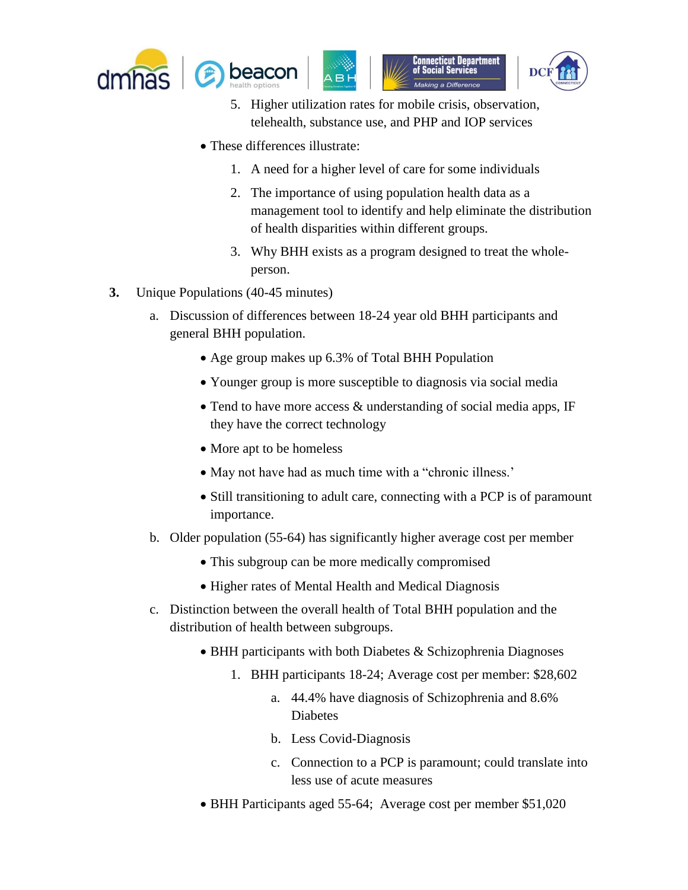





- 5. Higher utilization rates for mobile crisis, observation, telehealth, substance use, and PHP and IOP services
- These differences illustrate:
	- 1. A need for a higher level of care for some individuals
	- 2. The importance of using population health data as a management tool to identify and help eliminate the distribution of health disparities within different groups.
	- 3. Why BHH exists as a program designed to treat the wholeperson.
- **3.** Unique Populations (40-45 minutes)
	- a. Discussion of differences between 18-24 year old BHH participants and general BHH population.
		- Age group makes up 6.3% of Total BHH Population
		- Younger group is more susceptible to diagnosis via social media
		- Tend to have more access & understanding of social media apps, IF they have the correct technology
		- More apt to be homeless
		- May not have had as much time with a "chronic illness."
		- Still transitioning to adult care, connecting with a PCP is of paramount importance.
	- b. Older population (55-64) has significantly higher average cost per member
		- This subgroup can be more medically compromised
		- Higher rates of Mental Health and Medical Diagnosis
	- c. Distinction between the overall health of Total BHH population and the distribution of health between subgroups.
		- BHH participants with both Diabetes & Schizophrenia Diagnoses
			- 1. BHH participants 18-24; Average cost per member: \$28,602
				- a. 44.4% have diagnosis of Schizophrenia and 8.6% Diabetes
				- b. Less Covid-Diagnosis
				- c. Connection to a PCP is paramount; could translate into less use of acute measures
		- BHH Participants aged 55-64; Average cost per member \$51,020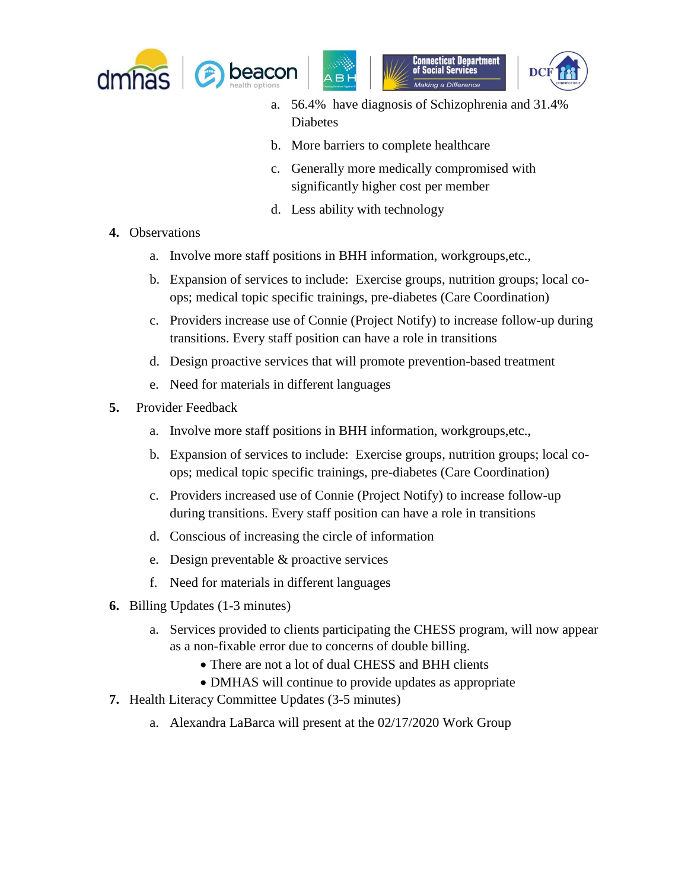







- a. 56.4% have diagnosis of Schizophrenia and 31.4% Diabetes
- b. More barriers to complete healthcare
- c. Generally more medically compromised with significantly higher cost per member
- d. Less ability with technology
- **4.** Observations
	- a. Involve more staff positions in BHH information, workgroups,etc.,
	- b. Expansion of services to include: Exercise groups, nutrition groups; local coops; medical topic specific trainings, pre-diabetes (Care Coordination)
	- c. Providers increase use of Connie (Project Notify) to increase follow-up during transitions. Every staff position can have a role in transitions
	- d. Design proactive services that will promote prevention-based treatment
	- e. Need for materials in different languages
- **5.** Provider Feedback
	- a. Involve more staff positions in BHH information, workgroups,etc.,
	- b. Expansion of services to include: Exercise groups, nutrition groups; local coops; medical topic specific trainings, pre-diabetes (Care Coordination)
	- c. Providers increased use of Connie (Project Notify) to increase follow-up during transitions. Every staff position can have a role in transitions
	- d. Conscious of increasing the circle of information
	- e. Design preventable & proactive services
	- f. Need for materials in different languages
- **6.** Billing Updates (1-3 minutes)
	- a. Services provided to clients participating the CHESS program, will now appear as a non-fixable error due to concerns of double billing.
		- There are not a lot of dual CHESS and BHH clients
		- DMHAS will continue to provide updates as appropriate
- **7.** Health Literacy Committee Updates (3-5 minutes)
	- a. Alexandra LaBarca will present at the 02/17/2020 Work Group